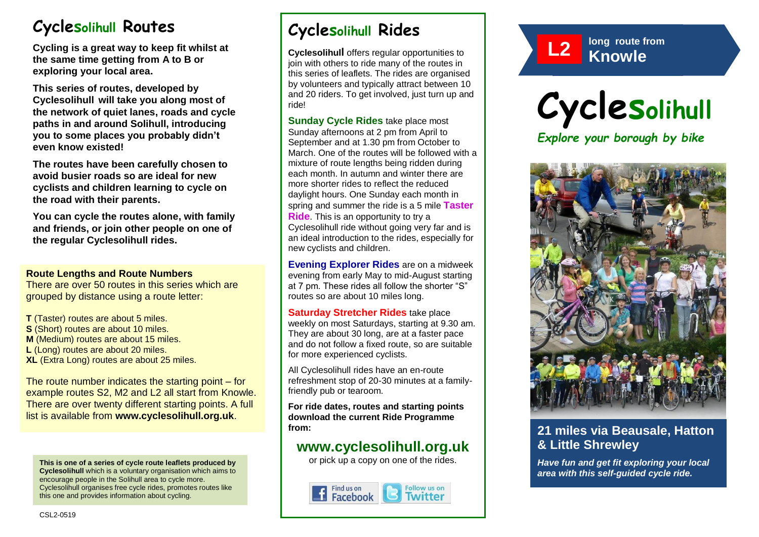# **Cyclesolihull Routes**

**Cycling is a great way to keep fit whilst at the same time getting from A to B or exploring your local area.** 

**This series of routes, developed by Cyclesolihull will take you along most of the network of quiet lanes, roads and cycle paths in and around Solihull, introducing you to some places you probably didn't even know existed!**

**The routes have been carefully chosen to avoid busier roads so are ideal for new cyclists and children learning to cycle on the road with their parents.** 

**You can cycle the routes alone, with family and friends, or join other people on one of the regular Cyclesolihull rides.**

#### **Route Lengths and Route Numbers**

There are over 50 routes in this series which are grouped by distance using a route letter:

**T** (Taster) routes are about 5 miles. **S** (Short) routes are about 10 miles. **M** (Medium) routes are about 15 miles. **L** (Long) routes are about 20 miles. **XL** (Extra Long) routes are about 25 miles.

The route number indicates the starting point – for example routes S2, M2 and L2 all start from Knowle. There are over twenty different starting points. A full list is available from **www.cyclesolihull.org.uk**.

**This is one of a series of cycle route leaflets produced by Cyclesolihull** which is a voluntary organisation which aims to encourage people in the Solihull area to cycle more. Cyclesolihull organises free cycle rides, promotes routes like this one and provides information about cycling.

# **Cyclesolihull Rides**

**Cyclesolihull** offers regular opportunities to join with others to ride many of the routes in this series of leaflets. The rides are organised by volunteers and typically attract between 10 and 20 riders. To get involved, just turn up and ride!

**Sunday Cycle Rides** take place most Sunday afternoons at 2 pm from April to September and at 1.30 pm from October to March. One of the routes will be followed with a mixture of route lengths being ridden during each month. In autumn and winter there are more shorter rides to reflect the reduced daylight hours. One Sunday each month in spring and summer the ride is a 5 mile **Taster Ride**. This is an opportunity to try a Cyclesolihull ride without going very far and is an ideal introduction to the rides, especially for new cyclists and children.

**Evening Explorer Rides** are on a midweek evening from early May to mid-August starting at 7 pm. These rides all follow the shorter "S" routes so are about 10 miles long.

**Saturday Stretcher Rides** take place weekly on most Saturdays, starting at 9.30 am. They are about 30 long, are at a faster pace and do not follow a fixed route, so are suitable for more experienced cyclists.

All Cyclesolihull rides have an en-route refreshment stop of 20-30 minutes at a familyfriendly pub or tearoom.

**For ride dates, routes and starting points download the current Ride Programme from:** 

## **www.cyclesolihull.org.uk**

or pick up a copy on one of the rides.









## **21 miles via Beausale, Hatton & Little Shrewley**

*Have fun and get fit exploring your local area with this self-guided cycle ride.*